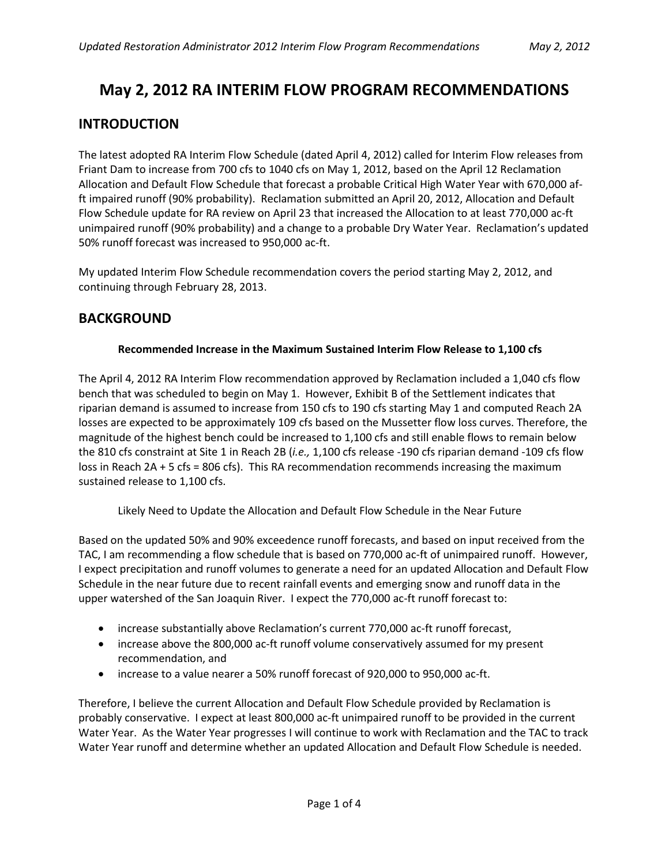# **May 2, 2012 RA INTERIM FLOW PROGRAM RECOMMENDATIONS**

# **INTRODUCTION**

The latest adopted RA Interim Flow Schedule (dated April 4, 2012) called for Interim Flow releases from Friant Dam to increase from 700 cfs to 1040 cfs on May 1, 2012, based on the April 12 Reclamation Allocation and Default Flow Schedule that forecast a probable Critical High Water Year with 670,000 afft impaired runoff (90% probability). Reclamation submitted an April 20, 2012, Allocation and Default Flow Schedule update for RA review on April 23 that increased the Allocation to at least 770,000 ac-ft unimpaired runoff (90% probability) and a change to a probable Dry Water Year. Reclamation's updated 50% runoff forecast was increased to 950,000 ac-ft.

My updated Interim Flow Schedule recommendation covers the period starting May 2, 2012, and continuing through February 28, 2013.

## **BACKGROUND**

### **Recommended Increase in the Maximum Sustained Interim Flow Release to 1,100 cfs**

The April 4, 2012 RA Interim Flow recommendation approved by Reclamation included a 1,040 cfs flow bench that was scheduled to begin on May 1. However, Exhibit B of the Settlement indicates that riparian demand is assumed to increase from 150 cfs to 190 cfs starting May 1 and computed Reach 2A losses are expected to be approximately 109 cfs based on the Mussetter flow loss curves. Therefore, the magnitude of the highest bench could be increased to 1,100 cfs and still enable flows to remain below the 810 cfs constraint at Site 1 in Reach 2B (*i.e.,* 1,100 cfs release -190 cfs riparian demand -109 cfs flow loss in Reach 2A + 5 cfs = 806 cfs). This RA recommendation recommends increasing the maximum sustained release to 1,100 cfs.

Likely Need to Update the Allocation and Default Flow Schedule in the Near Future

Based on the updated 50% and 90% exceedence runoff forecasts, and based on input received from the TAC, I am recommending a flow schedule that is based on 770,000 ac-ft of unimpaired runoff. However, I expect precipitation and runoff volumes to generate a need for an updated Allocation and Default Flow Schedule in the near future due to recent rainfall events and emerging snow and runoff data in the upper watershed of the San Joaquin River. I expect the 770,000 ac-ft runoff forecast to:

- increase substantially above Reclamation's current 770,000 ac-ft runoff forecast,
- increase above the 800,000 ac-ft runoff volume conservatively assumed for my present recommendation, and
- increase to a value nearer a 50% runoff forecast of 920,000 to 950,000 ac-ft.

Therefore, I believe the current Allocation and Default Flow Schedule provided by Reclamation is probably conservative. I expect at least 800,000 ac-ft unimpaired runoff to be provided in the current Water Year. As the Water Year progresses I will continue to work with Reclamation and the TAC to track Water Year runoff and determine whether an updated Allocation and Default Flow Schedule is needed.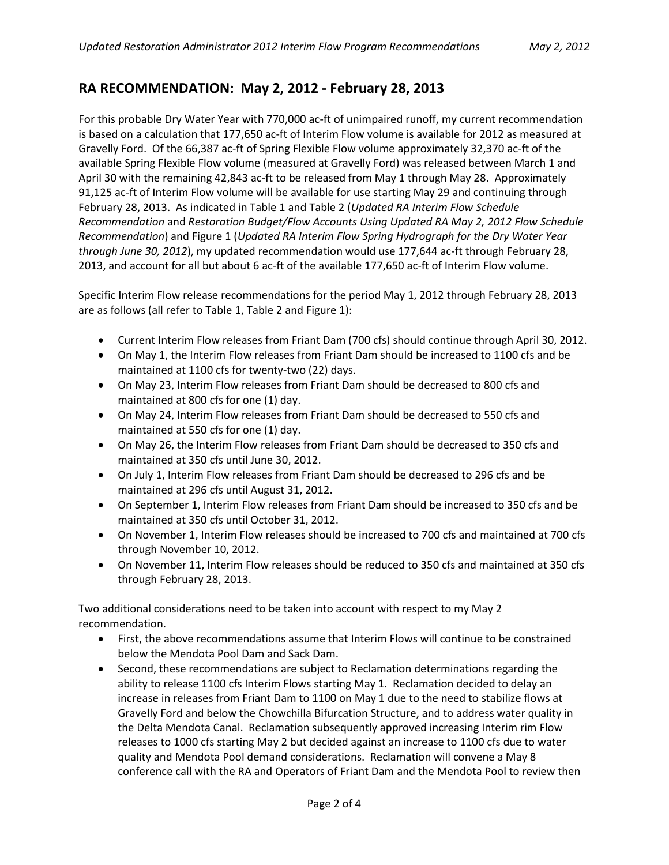# **RA RECOMMENDATION: May 2, 2012 - February 28, 2013**

For this probable Dry Water Year with 770,000 ac-ft of unimpaired runoff, my current recommendation is based on a calculation that 177,650 ac-ft of Interim Flow volume is available for 2012 as measured at Gravelly Ford. Of the 66,387 ac-ft of Spring Flexible Flow volume approximately 32,370 ac-ft of the available Spring Flexible Flow volume (measured at Gravelly Ford) was released between March 1 and April 30 with the remaining 42,843 ac-ft to be released from May 1 through May 28. Approximately 91,125 ac-ft of Interim Flow volume will be available for use starting May 29 and continuing through February 28, 2013. As indicated in Table 1 and Table 2 (*Updated RA Interim Flow Schedule Recommendation* and *Restoration Budget/Flow Accounts Using Updated RA May 2, 2012 Flow Schedule Recommendation*) and Figure 1 (*Updated RA Interim Flow Spring Hydrograph for the Dry Water Year through June 30, 2012*), my updated recommendation would use 177,644 ac-ft through February 28, 2013, and account for all but about 6 ac-ft of the available 177,650 ac-ft of Interim Flow volume.

Specific Interim Flow release recommendations for the period May 1, 2012 through February 28, 2013 are as follows (all refer to Table 1, Table 2 and Figure 1):

- Current Interim Flow releases from Friant Dam (700 cfs) should continue through April 30, 2012.
- On May 1, the Interim Flow releases from Friant Dam should be increased to 1100 cfs and be maintained at 1100 cfs for twenty-two (22) days.
- On May 23, Interim Flow releases from Friant Dam should be decreased to 800 cfs and maintained at 800 cfs for one (1) day.
- On May 24, Interim Flow releases from Friant Dam should be decreased to 550 cfs and maintained at 550 cfs for one (1) day.
- On May 26, the Interim Flow releases from Friant Dam should be decreased to 350 cfs and maintained at 350 cfs until June 30, 2012.
- On July 1, Interim Flow releases from Friant Dam should be decreased to 296 cfs and be maintained at 296 cfs until August 31, 2012.
- On September 1, Interim Flow releases from Friant Dam should be increased to 350 cfs and be maintained at 350 cfs until October 31, 2012.
- On November 1, Interim Flow releases should be increased to 700 cfs and maintained at 700 cfs through November 10, 2012.
- On November 11, Interim Flow releases should be reduced to 350 cfs and maintained at 350 cfs through February 28, 2013.

Two additional considerations need to be taken into account with respect to my May 2 recommendation.

- First, the above recommendations assume that Interim Flows will continue to be constrained below the Mendota Pool Dam and Sack Dam.
- Second, these recommendations are subject to Reclamation determinations regarding the ability to release 1100 cfs Interim Flows starting May 1. Reclamation decided to delay an increase in releases from Friant Dam to 1100 on May 1 due to the need to stabilize flows at Gravelly Ford and below the Chowchilla Bifurcation Structure, and to address water quality in the Delta Mendota Canal. Reclamation subsequently approved increasing Interim rim Flow releases to 1000 cfs starting May 2 but decided against an increase to 1100 cfs due to water quality and Mendota Pool demand considerations. Reclamation will convene a May 8 conference call with the RA and Operators of Friant Dam and the Mendota Pool to review then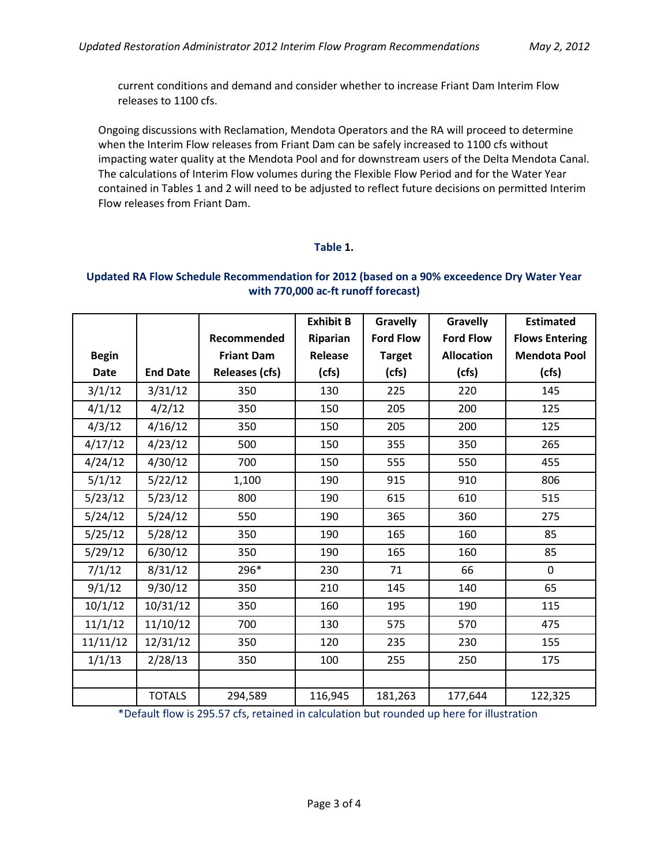current conditions and demand and consider whether to increase Friant Dam Interim Flow releases to 1100 cfs.

Ongoing discussions with Reclamation, Mendota Operators and the RA will proceed to determine when the Interim Flow releases from Friant Dam can be safely increased to 1100 cfs without impacting water quality at the Mendota Pool and for downstream users of the Delta Mendota Canal. The calculations of Interim Flow volumes during the Flexible Flow Period and for the Water Year contained in Tables 1 and 2 will need to be adjusted to reflect future decisions on permitted Interim Flow releases from Friant Dam.

### **Table 1.**

### **Updated RA Flow Schedule Recommendation for 2012 (based on a 90% exceedence Dry Water Year with 770,000 ac-ft runoff forecast)**

|              |                 |                       | <b>Exhibit B</b> | <b>Gravelly</b>  | Gravelly          | <b>Estimated</b>      |  |
|--------------|-----------------|-----------------------|------------------|------------------|-------------------|-----------------------|--|
|              |                 | Recommended           | Riparian         | <b>Ford Flow</b> | <b>Ford Flow</b>  | <b>Flows Entering</b> |  |
| <b>Begin</b> |                 | <b>Friant Dam</b>     | Release          | <b>Target</b>    | <b>Allocation</b> | <b>Mendota Pool</b>   |  |
| <b>Date</b>  | <b>End Date</b> | <b>Releases (cfs)</b> | (cfs)            | (cfs)            | (cfs)             | (cfs)                 |  |
| 3/1/12       | 3/31/12         | 350                   | 130              | 225              | 220               | 145                   |  |
| 4/1/12       | 4/2/12          | 350                   | 150              | 205              | 200               | 125                   |  |
| 4/3/12       | 4/16/12         | 350                   | 150              | 205              | 200               | 125                   |  |
| 4/17/12      | 4/23/12         | 500                   | 150              | 355              | 350               | 265                   |  |
| 4/24/12      | 4/30/12         | 700                   | 150              | 555              | 550               | 455                   |  |
| 5/1/12       | 5/22/12         | 1,100                 | 190              | 915              | 910               | 806                   |  |
| 5/23/12      | 5/23/12         | 800                   | 190              | 615              | 610               | 515                   |  |
| 5/24/12      | 5/24/12         | 550                   | 190              | 365              | 360               | 275                   |  |
| 5/25/12      | 5/28/12         | 350                   | 190              | 165              | 160               | 85                    |  |
| 5/29/12      | 6/30/12         | 350                   | 190              | 165              | 160               | 85                    |  |
| 7/1/12       | 8/31/12         | 296*                  | 230              | 71               | 66                | 0                     |  |
| 9/1/12       | 9/30/12         | 350                   | 210              | 145              | 140               | 65                    |  |
| 10/1/12      | 10/31/12        | 350                   | 160              | 195              | 190               | 115                   |  |
| 11/1/12      | 11/10/12        | 700                   | 130              | 575              | 570               | 475                   |  |
| 11/11/12     | 12/31/12        | 350                   | 120              | 235              | 230               | 155                   |  |
| 1/1/13       | 2/28/13         | 350                   | 100              | 255              | 250               | 175                   |  |
|              |                 |                       |                  |                  |                   |                       |  |
|              | <b>TOTALS</b>   | 294,589               | 116,945          | 181,263          | 177,644           | 122,325               |  |

\*Default flow is 295.57 cfs, retained in calculation but rounded up here for illustration